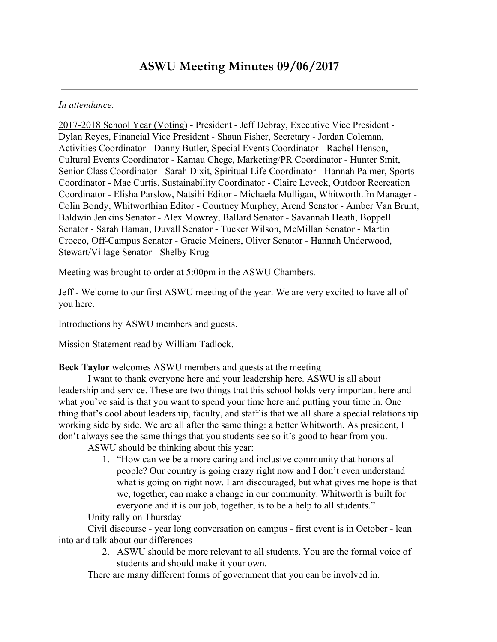#### *In attendance:*

2017-2018 School Year (Voting) - President - Jeff Debray, Executive Vice President - Dylan Reyes, Financial Vice President - Shaun Fisher, Secretary - Jordan Coleman, Activities Coordinator - Danny Butler, Special Events Coordinator - Rachel Henson, Cultural Events Coordinator - Kamau Chege, Marketing/PR Coordinator - Hunter Smit, Senior Class Coordinator - Sarah Dixit, Spiritual Life Coordinator - Hannah Palmer, Sports Coordinator - Mae Curtis, Sustainability Coordinator - Claire Leveck, Outdoor Recreation Coordinator - Elisha Parslow, Natsihi Editor - Michaela Mulligan, Whitworth.fm Manager - Colin Bondy, Whitworthian Editor - Courtney Murphey, Arend Senator - Amber Van Brunt, Baldwin Jenkins Senator - Alex Mowrey, Ballard Senator - Savannah Heath, Boppell Senator - Sarah Haman, Duvall Senator - Tucker Wilson, McMillan Senator - Martin Crocco, Off-Campus Senator - Gracie Meiners, Oliver Senator - Hannah Underwood, Stewart/Village Senator - Shelby Krug

Meeting was brought to order at 5:00pm in the ASWU Chambers.

Jeff - Welcome to our first ASWU meeting of the year. We are very excited to have all of you here.

Introductions by ASWU members and guests.

Mission Statement read by William Tadlock.

**Beck Taylor** welcomes ASWU members and guests at the meeting

I want to thank everyone here and your leadership here. ASWU is all about leadership and service. These are two things that this school holds very important here and what you've said is that you want to spend your time here and putting your time in. One thing that's cool about leadership, faculty, and staff is that we all share a special relationship working side by side. We are all after the same thing: a better Whitworth. As president, I don't always see the same things that you students see so it's good to hear from you.

ASWU should be thinking about this year:

1. "How can we be a more caring and inclusive community that honors all people? Our country is going crazy right now and I don't even understand what is going on right now. I am discouraged, but what gives me hope is that we, together, can make a change in our community. Whitworth is built for everyone and it is our job, together, is to be a help to all students." Unity rally on Thursday

Civil discourse - year long conversation on campus - first event is in October - lean into and talk about our differences

> 2. ASWU should be more relevant to all students. You are the formal voice of students and should make it your own.

There are many different forms of government that you can be involved in.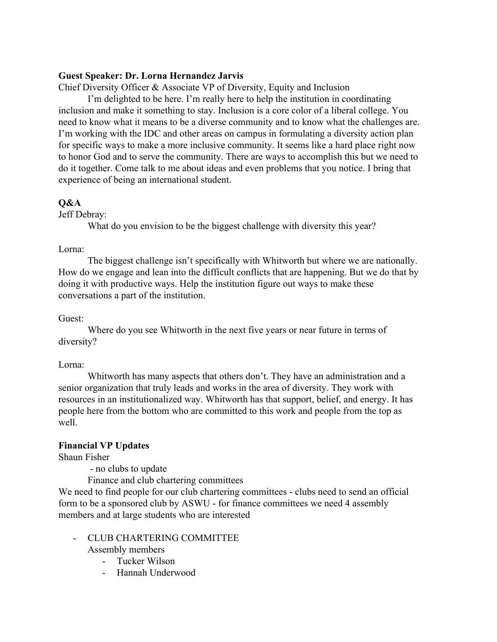## **Guest Speaker: Dr. Lorna Hernandez Jarvis**

Chief Diversity Officer & Associate VP of Diversity, Equity and Inclusion

I'm delighted to be here. I'm really here to help the institution in coordinating inclusion and make it something to stay. Inclusion is a core color of a liberal college. You need to know what it means to be a diverse community and to know what the challenges are. I'm working with the IDC and other areas on campus in formulating a diversity action plan for specific ways to make a more inclusive community. It seems like a hard place right now to honor God and to serve the community. There are ways to accomplish this but we need to do it together. Come talk to me about ideas and even problems that you notice. I bring that experience of being an international student.

## **Q&A**

Jeff Debray:

What do you envision to be the biggest challenge with diversity this year?

#### Lorna:

The biggest challenge isn't specifically with Whitworth but where we are nationally. How do we engage and lean into the difficult conflicts that are happening. But we do that by doing it with productive ways. Help the institution figure out ways to make these conversations a part of the institution.

## Guest:

Where do you see Whitworth in the next five years or near future in terms of diversity?

#### Lorna:

Whitworth has many aspects that others don't. They have an administration and a senior organization that truly leads and works in the area of diversity. They work with resources in an institutionalized way. Whitworth has that support, belief, and energy. It has people here from the bottom who are committed to this work and people from the top as well.

#### **Financial VP Updates**

Shaun Fisher

- no clubs to update

Finance and club chartering committees

We need to find people for our club chartering committees - clubs need to send an official form to be a sponsored club by ASWU - for finance committees we need 4 assembly members and at large students who are interested

#### - CLUB CHARTERING COMMITTEE

Assembly members

- Tucker Wilson
- Hannah Underwood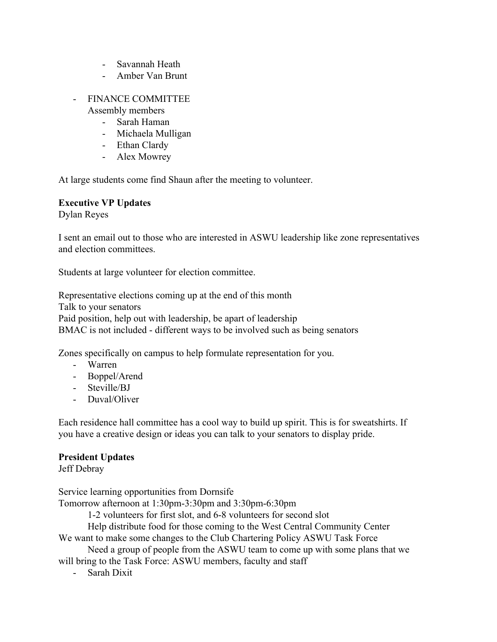- Savannah Heath
- Amber Van Brunt
- FINANCE COMMITTEE
	- Assembly members
		- Sarah Haman
		- Michaela Mulligan
		- Ethan Clardy
		- Alex Mowrey

At large students come find Shaun after the meeting to volunteer.

## **Executive VP Updates**

Dylan Reyes

I sent an email out to those who are interested in ASWU leadership like zone representatives and election committees.

Students at large volunteer for election committee.

Representative elections coming up at the end of this month Talk to your senators Paid position, help out with leadership, be apart of leadership BMAC is not included - different ways to be involved such as being senators

Zones specifically on campus to help formulate representation for you.

- Warren
- Boppel/Arend
- Steville/BJ
- Duval/Oliver

Each residence hall committee has a cool way to build up spirit. This is for sweatshirts. If you have a creative design or ideas you can talk to your senators to display pride.

#### **President Updates**

Jeff Debray

Service learning opportunities from Dornsife

Tomorrow afternoon at 1:30pm-3:30pm and 3:30pm-6:30pm

1-2 volunteers for first slot, and 6-8 volunteers for second slot

Help distribute food for those coming to the West Central Community Center

We want to make some changes to the Club Chartering Policy ASWU Task Force

Need a group of people from the ASWU team to come up with some plans that we will bring to the Task Force: ASWU members, faculty and staff

- Sarah Dixit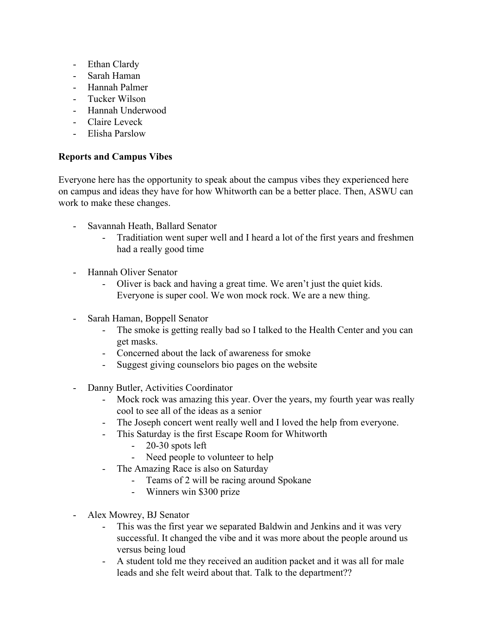- Ethan Clardy
- Sarah Haman
- Hannah Palmer
- Tucker Wilson
- Hannah Underwood
- Claire Leveck
- Elisha Parslow

# **Reports and Campus Vibes**

Everyone here has the opportunity to speak about the campus vibes they experienced here on campus and ideas they have for how Whitworth can be a better place. Then, ASWU can work to make these changes.

- Savannah Heath, Ballard Senator
	- Traditiation went super well and I heard a lot of the first years and freshmen had a really good time
- Hannah Oliver Senator
	- Oliver is back and having a great time. We aren't just the quiet kids. Everyone is super cool. We won mock rock. We are a new thing.
- Sarah Haman, Boppell Senator
	- The smoke is getting really bad so I talked to the Health Center and you can get masks.
	- Concerned about the lack of awareness for smoke
	- Suggest giving counselors bio pages on the website
- Danny Butler, Activities Coordinator
	- Mock rock was amazing this year. Over the years, my fourth year was really cool to see all of the ideas as a senior
	- The Joseph concert went really well and I loved the help from everyone.
	- This Saturday is the first Escape Room for Whitworth
		- 20-30 spots left
		- Need people to volunteer to help
	- The Amazing Race is also on Saturday
		- Teams of 2 will be racing around Spokane
		- Winners win \$300 prize
- Alex Mowrey, BJ Senator
	- This was the first year we separated Baldwin and Jenkins and it was very successful. It changed the vibe and it was more about the people around us versus being loud
	- A student told me they received an audition packet and it was all for male leads and she felt weird about that. Talk to the department??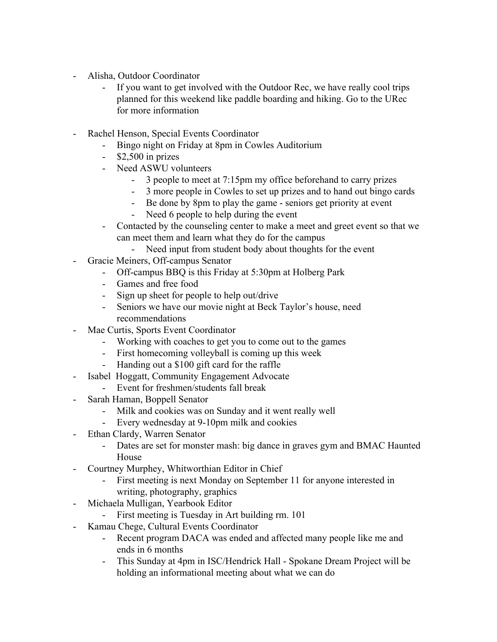- Alisha, Outdoor Coordinator
	- If you want to get involved with the Outdoor Rec, we have really cool trips planned for this weekend like paddle boarding and hiking. Go to the URec for more information
- Rachel Henson, Special Events Coordinator
	- Bingo night on Friday at 8pm in Cowles Auditorium
	- \$2,500 in prizes
	- Need ASWU volunteers
		- 3 people to meet at 7:15pm my office beforehand to carry prizes
		- 3 more people in Cowles to set up prizes and to hand out bingo cards
		- Be done by 8pm to play the game seniors get priority at event
			- Need 6 people to help during the event
	- Contacted by the counseling center to make a meet and greet event so that we can meet them and learn what they do for the campus
		- Need input from student body about thoughts for the event
- Gracie Meiners, Off-campus Senator
	- Off-campus BBQ is this Friday at 5:30pm at Holberg Park
	- Games and free food
	- Sign up sheet for people to help out/drive
	- Seniors we have our movie night at Beck Taylor's house, need recommendations
- Mae Curtis, Sports Event Coordinator
	- Working with coaches to get you to come out to the games
	- First homecoming volleyball is coming up this week
	- Handing out a \$100 gift card for the raffle
- Isabel Hoggatt, Community Engagement Advocate
	- Event for freshmen/students fall break
- Sarah Haman, Boppell Senator
	- Milk and cookies was on Sunday and it went really well
	- Every wednesday at 9-10pm milk and cookies
- Ethan Clardy, Warren Senator
	- Dates are set for monster mash: big dance in graves gym and BMAC Haunted House
- Courtney Murphey, Whitworthian Editor in Chief
	- First meeting is next Monday on September 11 for anyone interested in writing, photography, graphics
- Michaela Mulligan, Yearbook Editor
	- First meeting is Tuesday in Art building rm. 101
- Kamau Chege, Cultural Events Coordinator
	- Recent program DACA was ended and affected many people like me and ends in 6 months
	- This Sunday at 4pm in ISC/Hendrick Hall Spokane Dream Project will be holding an informational meeting about what we can do